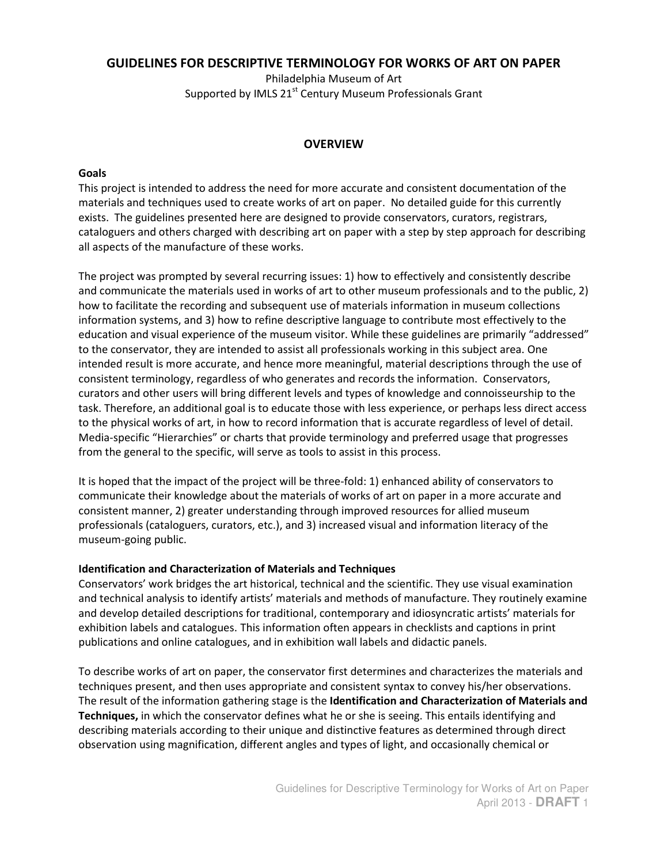# **GUIDELINES FOR DESCRIPTIVE TERMINOLOGY FOR WORKS OF ART ON PAPER**

Philadelphia Museum of Art Supported by IMLS 21<sup>st</sup> Century Museum Professionals Grant

### **OVERVIEW**

#### **Goals**

This project is intended to address the need for more accurate and consistent documentation of the materials and techniques used to create works of art on paper. No detailed guide for this currently exists. The guidelines presented here are designed to provide conservators, curators, registrars, cataloguers and others charged with describing art on paper with a step by step approach for describing all aspects of the manufacture of these works.

The project was prompted by several recurring issues: 1) how to effectively and consistently describe and communicate the materials used in works of art to other museum professionals and to the public, 2) how to facilitate the recording and subsequent use of materials information in museum collections information systems, and 3) how to refine descriptive language to contribute most effectively to the education and visual experience of the museum visitor. While these guidelines are primarily "addressed" to the conservator, they are intended to assist all professionals working in this subject area. One intended result is more accurate, and hence more meaningful, material descriptions through the use of consistent terminology, regardless of who generates and records the information. Conservators, curators and other users will bring different levels and types of knowledge and connoisseurship to the task. Therefore, an additional goal is to educate those with less experience, or perhaps less direct access to the physical works of art, in how to record information that is accurate regardless of level of detail. Media-specific "Hierarchies" or charts that provide terminology and preferred usage that progresses from the general to the specific, will serve as tools to assist in this process.

It is hoped that the impact of the project will be three-fold: 1) enhanced ability of conservators to communicate their knowledge about the materials of works of art on paper in a more accurate and consistent manner, 2) greater understanding through improved resources for allied museum professionals (cataloguers, curators, etc.), and 3) increased visual and information literacy of the museum-going public.

#### **Identification and Characterization of Materials and Techniques**

Conservators' work bridges the art historical, technical and the scientific. They use visual examination and technical analysis to identify artists' materials and methods of manufacture. They routinely examine and develop detailed descriptions for traditional, contemporary and idiosyncratic artists' materials for exhibition labels and catalogues. This information often appears in checklists and captions in print publications and online catalogues, and in exhibition wall labels and didactic panels.

To describe works of art on paper, the conservator first determines and characterizes the materials and techniques present, and then uses appropriate and consistent syntax to convey his/her observations. The result of the information gathering stage is the **Identification and Characterization of Materials and Techniques,** in which the conservator defines what he or she is seeing. This entails identifying and describing materials according to their unique and distinctive features as determined through direct observation using magnification, different angles and types of light, and occasionally chemical or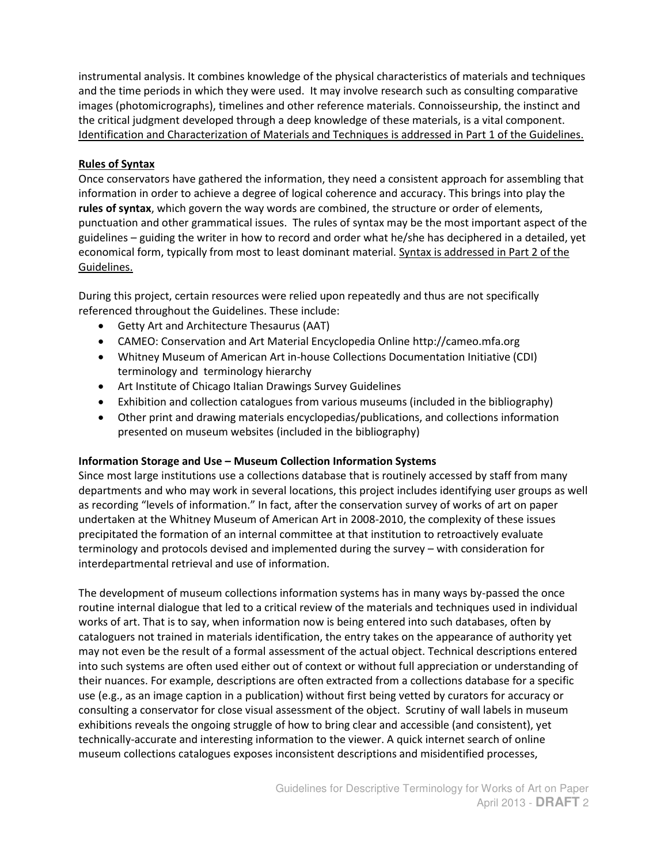instrumental analysis. It combines knowledge of the physical characteristics of materials and techniques and the time periods in which they were used. It may involve research such as consulting comparative images (photomicrographs), timelines and other reference materials. Connoisseurship, the instinct and the critical judgment developed through a deep knowledge of these materials, is a vital component. Identification and Characterization of Materials and Techniques is addressed in Part 1 of the Guidelines.

### **Rules of Syntax**

Once conservators have gathered the information, they need a consistent approach for assembling that information in order to achieve a degree of logical coherence and accuracy. This brings into play the **rules of syntax**, which govern the way words are combined, the structure or order of elements, punctuation and other grammatical issues. The rules of syntax may be the most important aspect of the guidelines – guiding the writer in how to record and order what he/she has deciphered in a detailed, yet economical form, typically from most to least dominant material. Syntax is addressed in Part 2 of the Guidelines.

During this project, certain resources were relied upon repeatedly and thus are not specifically referenced throughout the Guidelines. These include:

- Getty Art and Architecture Thesaurus (AAT)
- CAMEO: Conservation and Art Material Encyclopedia Online [http://cameo.mfa.org](http://cameo.mfa.org/)
- Whitney Museum of American Art in-house Collections Documentation Initiative (CDI) terminology and terminology hierarchy
- Art Institute of Chicago Italian Drawings Survey Guidelines
- Exhibition and collection catalogues from various museums (included in the bibliography)
- Other print and drawing materials encyclopedias/publications, and collections information presented on museum websites (included in the bibliography)

### **Information Storage and Use – Museum Collection Information Systems**

Since most large institutions use a collections database that is routinely accessed by staff from many departments and who may work in several locations, this project includes identifying user groups as well as recording "levels of information." In fact, after the conservation survey of works of art on paper undertaken at the Whitney Museum of American Art in 2008-2010, the complexity of these issues precipitated the formation of an internal committee at that institution to retroactively evaluate terminology and protocols devised and implemented during the survey – with consideration for interdepartmental retrieval and use of information.

The development of museum collections information systems has in many ways by-passed the once routine internal dialogue that led to a critical review of the materials and techniques used in individual works of art. That is to say, when information now is being entered into such databases, often by cataloguers not trained in materials identification, the entry takes on the appearance of authority yet may not even be the result of a formal assessment of the actual object. Technical descriptions entered into such systems are often used either out of context or without full appreciation or understanding of their nuances. For example, descriptions are often extracted from a collections database for a specific use (e.g., as an image caption in a publication) without first being vetted by curators for accuracy or consulting a conservator for close visual assessment of the object. Scrutiny of wall labels in museum exhibitions reveals the ongoing struggle of how to bring clear and accessible (and consistent), yet technically-accurate and interesting information to the viewer. A quick internet search of online museum collections catalogues exposes inconsistent descriptions and misidentified processes,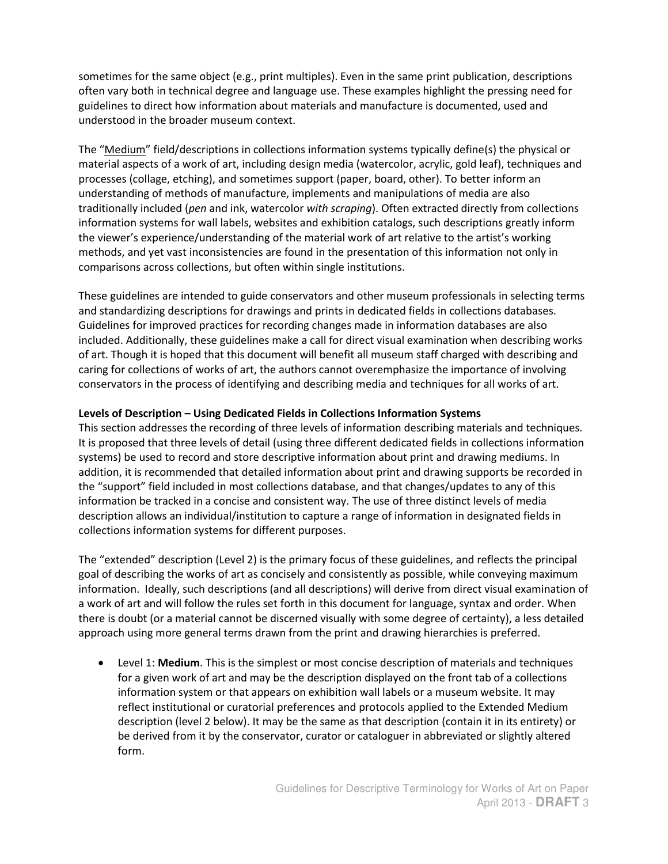sometimes for the same object (e.g., print multiples). Even in the same print publication, descriptions often vary both in technical degree and language use. These examples highlight the pressing need for guidelines to direct how information about materials and manufacture is documented, used and understood in the broader museum context.

The "Medium" field/descriptions in collections information systems typically define(s) the physical or material aspects of a work of art, including design media (watercolor, acrylic, gold leaf), techniques and processes (collage, etching), and sometimes support (paper, board, other). To better inform an understanding of methods of manufacture, implements and manipulations of media are also traditionally included (*pen* and ink, watercolor *with scraping*). Often extracted directly from collections information systems for wall labels, websites and exhibition catalogs, such descriptions greatly inform the viewer's experience/understanding of the material work of art relative to the artist's working methods, and yet vast inconsistencies are found in the presentation of this information not only in comparisons across collections, but often within single institutions.

These guidelines are intended to guide conservators and other museum professionals in selecting terms and standardizing descriptions for drawings and prints in dedicated fields in collections databases. Guidelines for improved practices for recording changes made in information databases are also included. Additionally, these guidelines make a call for direct visual examination when describing works of art. Though it is hoped that this document will benefit all museum staff charged with describing and caring for collections of works of art, the authors cannot overemphasize the importance of involving conservators in the process of identifying and describing media and techniques for all works of art.

# **Levels of Description – Using Dedicated Fields in Collections Information Systems**

This section addresses the recording of three levels of information describing materials and techniques*.*  It is proposed that three levels of detail (using three different dedicated fields in collections information systems) be used to record and store descriptive information about print and drawing mediums. In addition, it is recommended that detailed information about print and drawing supports be recorded in the "support" field included in most collections database, and that changes/updates to any of this information be tracked in a concise and consistent way. The use of three distinct levels of media description allows an individual/institution to capture a range of information in designated fields in collections information systems for different purposes.

The "extended" description (Level 2) is the primary focus of these guidelines, and reflects the principal goal of describing the works of art as concisely and consistently as possible, while conveying maximum information. Ideally, such descriptions (and all descriptions) will derive from direct visual examination of a work of art and will follow the rules set forth in this document for language, syntax and order. When there is doubt (or a material cannot be discerned visually with some degree of certainty), a less detailed approach using more general terms drawn from the print and drawing hierarchies is preferred.

 Level 1: **Medium**. This is the simplest or most concise description of materials and techniques for a given work of art and may be the description displayed on the front tab of a collections information system or that appears on exhibition wall labels or a museum website. It may reflect institutional or curatorial preferences and protocols applied to the Extended Medium description (level 2 below). It may be the same as that description (contain it in its entirety) or be derived from it by the conservator, curator or cataloguer in abbreviated or slightly altered form.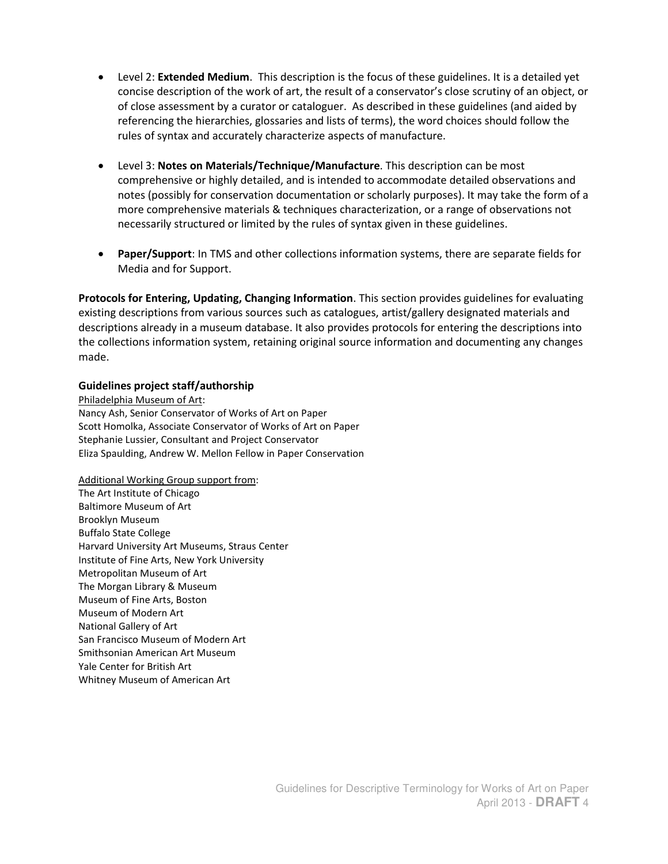- Level 2: **Extended Medium**. This description is the focus of these guidelines. It is a detailed yet concise description of the work of art, the result of a conservator's close scrutiny of an object, or of close assessment by a curator or cataloguer. As described in these guidelines (and aided by referencing the hierarchies, glossaries and lists of terms), the word choices should follow the rules of syntax and accurately characterize aspects of manufacture.
- Level 3: **Notes on Materials/Technique/Manufacture**. This description can be most comprehensive or highly detailed, and is intended to accommodate detailed observations and notes (possibly for conservation documentation or scholarly purposes). It may take the form of a more comprehensive materials & techniques characterization, or a range of observations not necessarily structured or limited by the rules of syntax given in these guidelines.
- **Paper/Support**: In TMS and other collections information systems, there are separate fields for Media and for Support.

**Protocols for Entering, Updating, Changing Information**. This section provides guidelines for evaluating existing descriptions from various sources such as catalogues, artist/gallery designated materials and descriptions already in a museum database. It also provides protocols for entering the descriptions into the collections information system, retaining original source information and documenting any changes made.

#### **Guidelines project staff/authorship**

Philadelphia Museum of Art: Nancy Ash, Senior Conservator of Works of Art on Paper Scott Homolka, Associate Conservator of Works of Art on Paper Stephanie Lussier, Consultant and Project Conservator Eliza Spaulding, Andrew W. Mellon Fellow in Paper Conservation

Additional Working Group support from: The Art Institute of Chicago Baltimore Museum of Art Brooklyn Museum Buffalo State College Harvard University Art Museums, Straus Center Institute of Fine Arts, New York University Metropolitan Museum of Art The Morgan Library & Museum Museum of Fine Arts, Boston Museum of Modern Art National Gallery of Art San Francisco Museum of Modern Art Smithsonian American Art Museum Yale Center for British Art Whitney Museum of American Art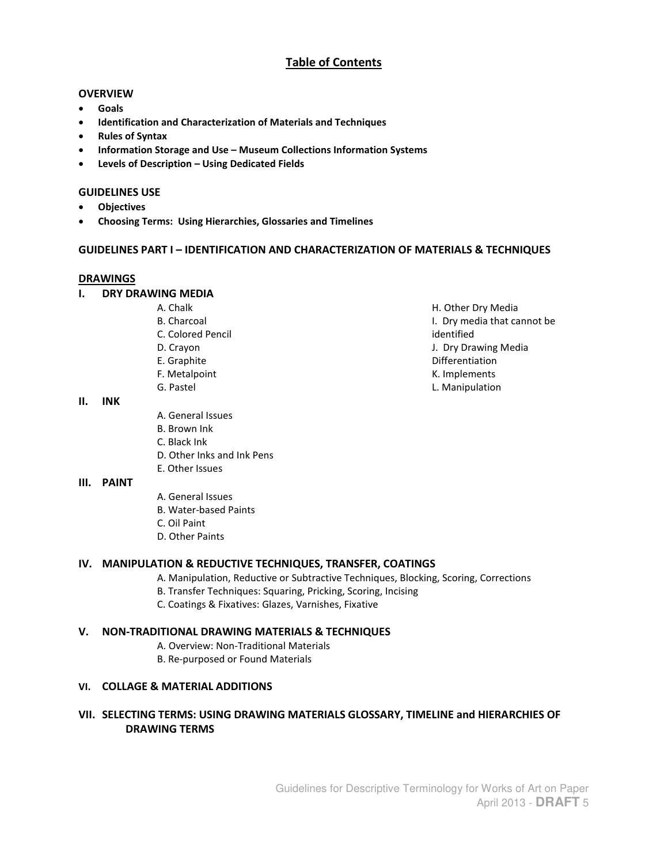# **Table of Contents**

#### **OVERVIEW**

- **Goals**
- **Identification and Characterization of Materials and Techniques**
- **Rules of Syntax**
- **Information Storage and Use – Museum Collections Information Systems**
- **Levels of Description – Using Dedicated Fields**

#### **GUIDELINES USE**

- **Objectives**
- **Choosing Terms: Using Hierarchies, Glossaries and Timelines**

#### **GUIDELINES PART I – IDENTIFICATION AND CHARACTERIZATION OF MATERIALS & TECHNIQUES**

#### **DRAWINGS**

- **I. DRY DRAWING MEDIA** 
	- A. Chalk
	- B. Charcoal
	- C. Colored Pencil
	- D. Crayon
	- E. Graphite
	- F. Metalpoint
	- G. Pastel

#### **II. INK**

- A. General Issues
- B. Brown Ink
- C. Black Ink
- D. Other Inks and Ink Pens
- E. Other Issues

### **III. PAINT**

- A. General Issues
- B. Water-based Paints
- C. Oil Paint
- D. Other Paints

### **IV. MANIPULATION & REDUCTIVE TECHNIQUES, TRANSFER, COATINGS**

- A. Manipulation, Reductive or Subtractive Techniques, Blocking, Scoring, Corrections
- B. Transfer Techniques: Squaring, Pricking, Scoring, Incising
- C. Coatings & Fixatives: Glazes, Varnishes, Fixative

### **V. NON-TRADITIONAL DRAWING MATERIALS & TECHNIQUES**

- A. Overview: Non-Traditional Materials
- B. Re-purposed or Found Materials

### **VI. COLLAGE & MATERIAL ADDITIONS**

# **VII. SELECTING TERMS: USING DRAWING MATERIALS GLOSSARY, TIMELINE and HIERARCHIES OF DRAWING TERMS**

H. Other Dry Media I. Dry media that cannot be identified J. Dry Drawing Media Differentiation K. Implements L. Manipulation